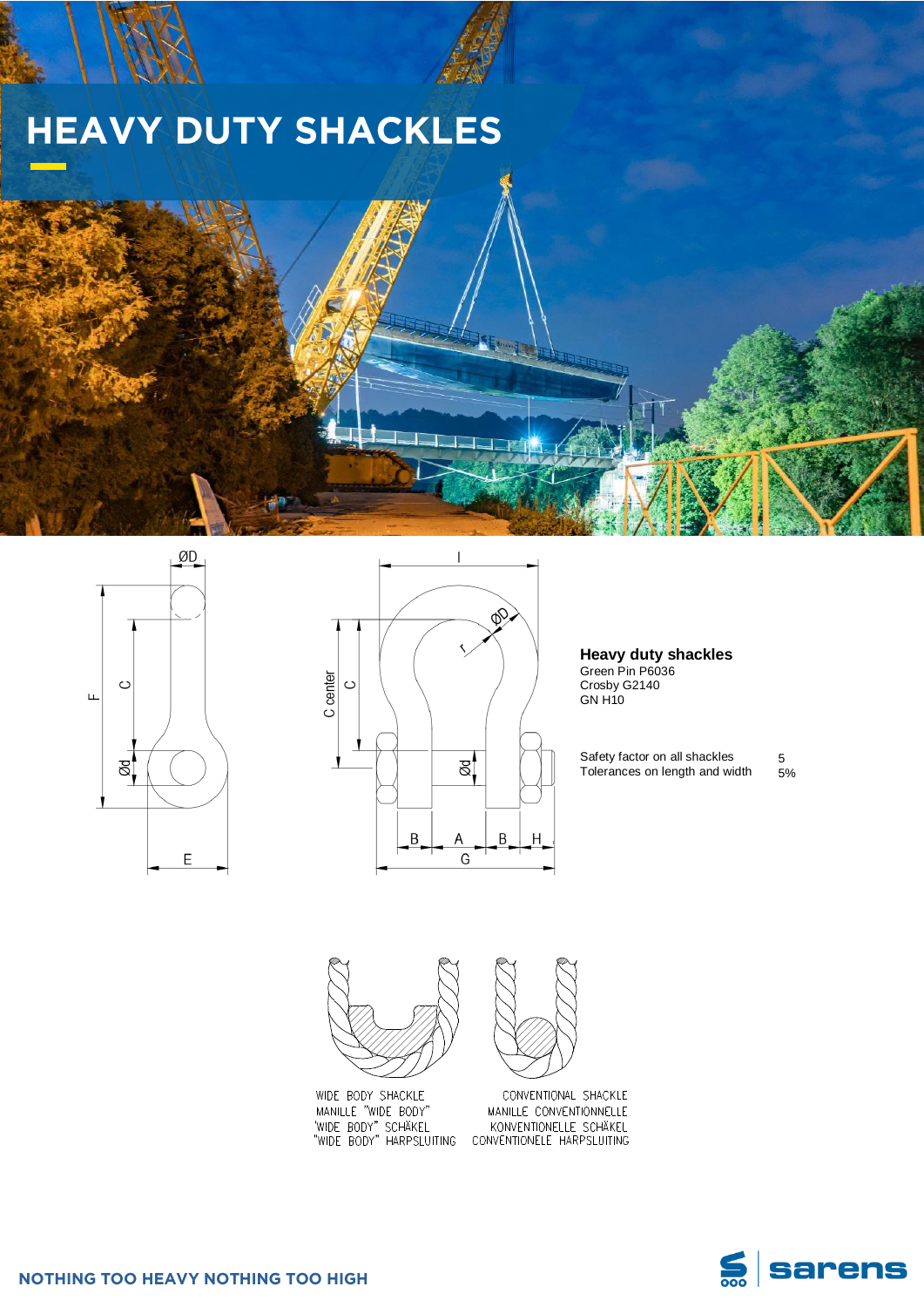

MANILLE "WIDE BODY" WIDE BODY" SCHAKEL<br>"WIDE BODY" SCHAKEL"

CONVENTIONAL SHACKLE MANILLE CONVENTIONNELLE KONVENTIONELLE SCHÄKEL

















**Heavy duty shackles**

Green Pin P6036 Crosby G2140

Safety factor on all shackles Tolerances on length and width

5 5%

ØD  $\circ$  $\sqcup$  $\frac{1}{\alpha}$ 

 $\mathsf E$ 





## **HEAVY DUTY SHACKLES**